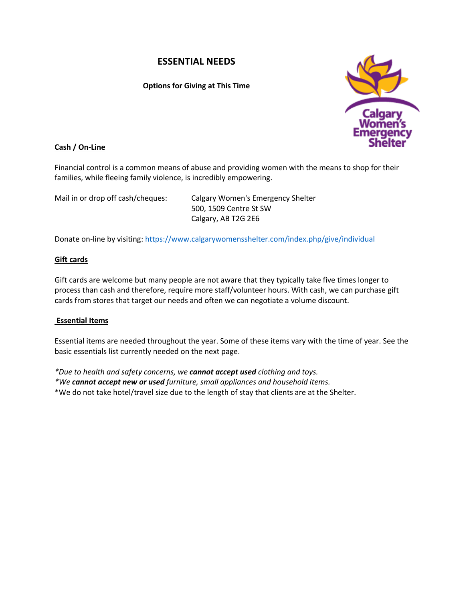## **ESSENTIAL NEEDS**

**Options for Giving at This Time**



#### **Cash / On-Line**

Financial control is a common means of abuse and providing women with the means to shop for their families, while fleeing family violence, is incredibly empowering.

Mail in or drop off cash/cheques: Calgary Women's Emergency Shelter 500, 1509 Centre St SW Calgary, AB T2G 2E6

Donate on-line by visiting: https://www.calgarywomensshelter.com/index.php/give/individual

#### **Gift cards**

Gift cards are welcome but many people are not aware that they typically take five times longer to process than cash and therefore, require more staff/volunteer hours. With cash, we can purchase gift cards from stores that target our needs and often we can negotiate a volume discount.

#### **Essential Items**

Essential items are needed throughout the year. Some of these items vary with the time of year. See the basic essentials list currently needed on the next page.

*\*Due to health and safety concerns, we cannot accept used clothing and toys. \*We cannot accept new or used furniture, small appliances and household items.*  \*We do not take hotel/travel size due to the length of stay that clients are at the Shelter.